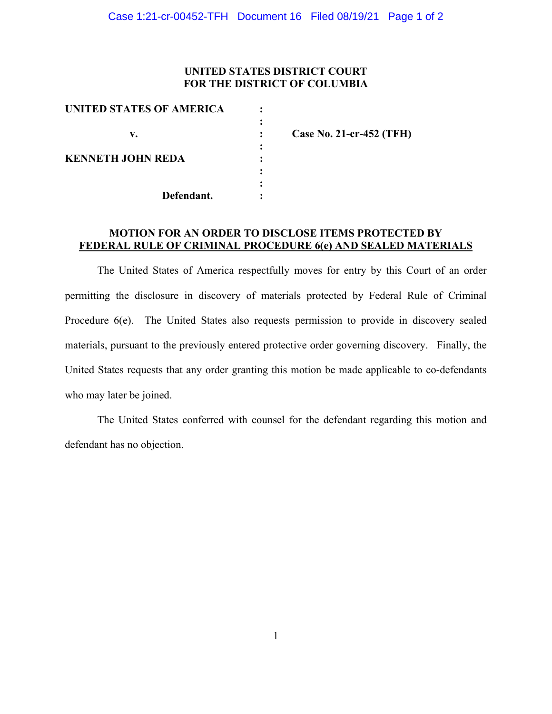### **UNITED STATES DISTRICT COURT FOR THE DISTRICT OF COLUMBIA**

| <b>UNITED STATES OF AMERICA</b> |                          |
|---------------------------------|--------------------------|
|                                 |                          |
| v.                              | Case No. 21-cr-452 (TFH) |
|                                 |                          |
| <b>KENNETH JOHN REDA</b>        |                          |
|                                 |                          |
|                                 |                          |
| Defendant.                      |                          |

# **MOTION FOR AN ORDER TO DISCLOSE ITEMS PROTECTED BY FEDERAL RULE OF CRIMINAL PROCEDURE 6(e) AND SEALED MATERIALS**

The United States of America respectfully moves for entry by this Court of an order permitting the disclosure in discovery of materials protected by Federal Rule of Criminal Procedure 6(e). The United States also requests permission to provide in discovery sealed materials, pursuant to the previously entered protective order governing discovery. Finally, the United States requests that any order granting this motion be made applicable to co-defendants who may later be joined.

The United States conferred with counsel for the defendant regarding this motion and defendant has no objection.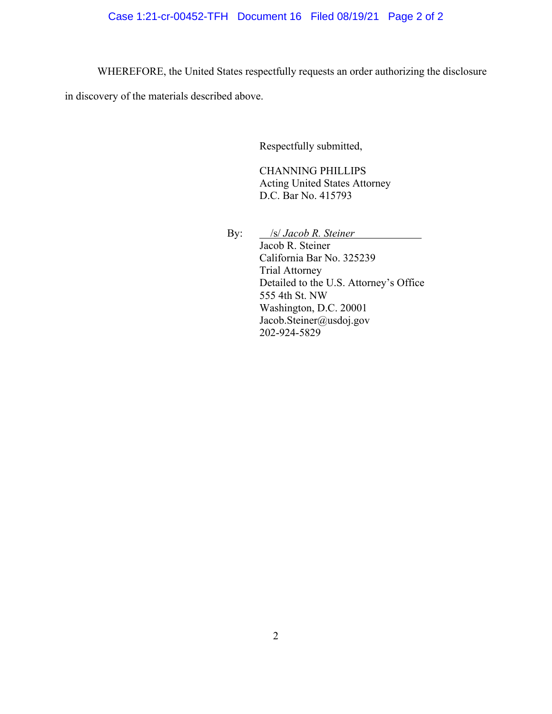# Case 1:21-cr-00452-TFH Document 16 Filed 08/19/21 Page 2 of 2

WHEREFORE, the United States respectfully requests an order authorizing the disclosure

in discovery of the materials described above.

Respectfully submitted,

CHANNING PHILLIPS Acting United States Attorney D.C. Bar No. 415793

By: */s/ Jacob R. Steiner*  Jacob R. Steiner California Bar No. 325239 Trial Attorney Detailed to the U.S. Attorney's Office 555 4th St. NW Washington, D.C. 20001 Jacob.Steiner@usdoj.gov 202-924-5829